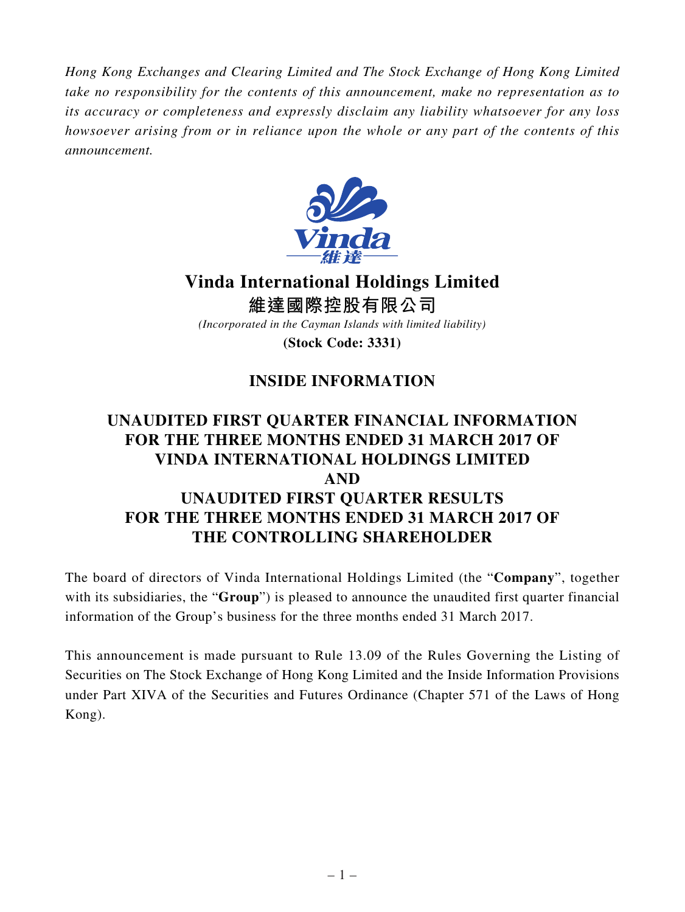*Hong Kong Exchanges and Clearing Limited and The Stock Exchange of Hong Kong Limited take no responsibility for the contents of this announcement, make no representation as to its accuracy or completeness and expressly disclaim any liability whatsoever for any loss howsoever arising from or in reliance upon the whole or any part of the contents of this announcement.*



**Vinda International Holdings Limited**

**維達國際控股有限公司** *(Incorporated in the Cayman Islands with limited liability)*

**(Stock Code: 3331)**

## **INSIDE INFORMATION**

## **UNAUDITED FIRST QUARTER FINANCIAL INFORMATION FOR THE THREE MONTHS ENDED 31 MARCH 2017 OF VINDA INTERNATIONAL HOLDINGS LIMITED AND UNAUDITED FIRST QUARTER RESULTS FOR THE THREE MONTHS ENDED 31 MARCH 2017 OF THE CONTROLLING SHAREHOLDER**

The board of directors of Vinda International Holdings Limited (the "**Company**", together with its subsidiaries, the "**Group**") is pleased to announce the unaudited first quarter financial information of the Group's business for the three months ended 31 March 2017.

This announcement is made pursuant to Rule 13.09 of the Rules Governing the Listing of Securities on The Stock Exchange of Hong Kong Limited and the Inside Information Provisions under Part XIVA of the Securities and Futures Ordinance (Chapter 571 of the Laws of Hong Kong).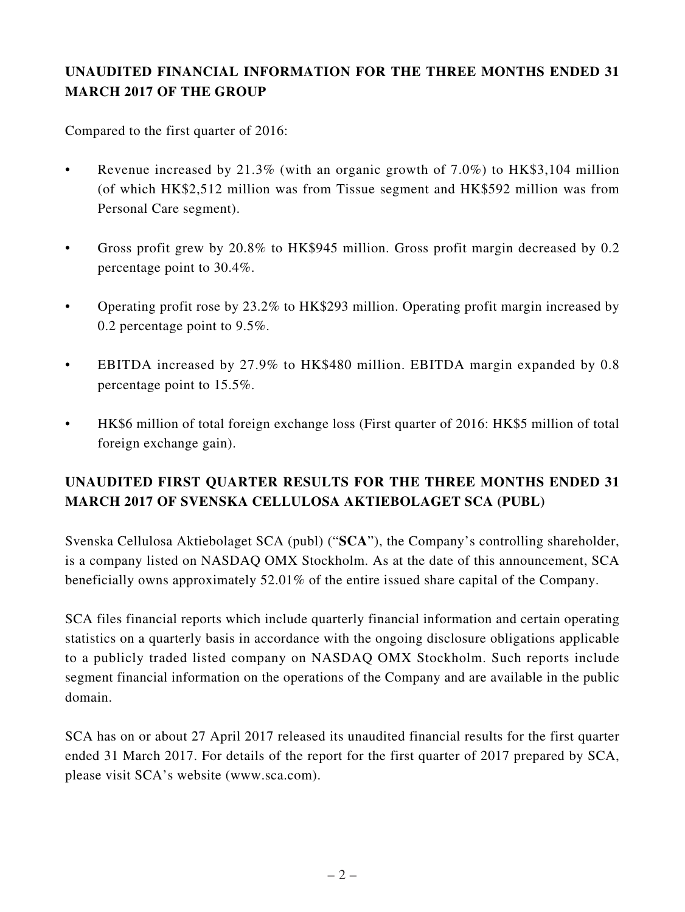## **UNAUDITED FINANCIAL INFORMATION FOR THE THREE MONTHS ENDED 31 MARCH 2017 OF THE GROUP**

Compared to the first quarter of 2016:

- Revenue increased by  $21.3\%$  (with an organic growth of 7.0%) to HK\$3,104 million (of which HK\$2,512 million was from Tissue segment and HK\$592 million was from Personal Care segment).
- Gross profit grew by 20.8% to HK\$945 million. Gross profit margin decreased by 0.2 percentage point to 30.4%.
- Operating profit rose by 23.2% to HK\$293 million. Operating profit margin increased by 0.2 percentage point to 9.5%.
- EBITDA increased by 27.9% to HK\$480 million. EBITDA margin expanded by 0.8 percentage point to 15.5%.
- HK\$6 million of total foreign exchange loss (First quarter of 2016: HK\$5 million of total foreign exchange gain).

## **UNAUDITED FIRST QUARTER RESULTS FOR THE THREE MONTHS ENDED 31 MARCH 2017 OF SVENSKA CELLULOSA AKTIEBOLAGET SCA (PUBL)**

Svenska Cellulosa Aktiebolaget SCA (publ) ("**SCA**"), the Company's controlling shareholder, is a company listed on NASDAQ OMX Stockholm. As at the date of this announcement, SCA beneficially owns approximately 52.01% of the entire issued share capital of the Company.

SCA files financial reports which include quarterly financial information and certain operating statistics on a quarterly basis in accordance with the ongoing disclosure obligations applicable to a publicly traded listed company on NASDAQ OMX Stockholm. Such reports include segment financial information on the operations of the Company and are available in the public domain.

SCA has on or about 27 April 2017 released its unaudited financial results for the first quarter ended 31 March 2017. For details of the report for the first quarter of 2017 prepared by SCA, please visit SCA's website (www.sca.com).